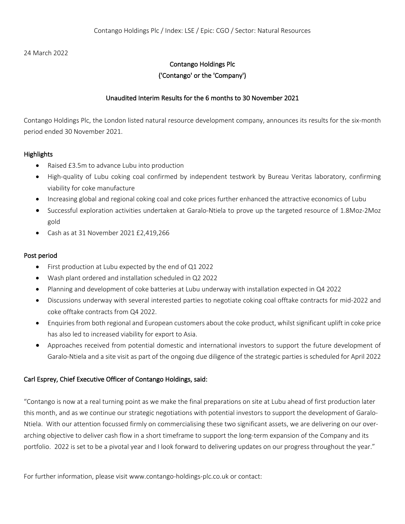24 March 2022

## Contango Holdings Plc

## ('Contango' or the 'Company')

## Unaudited Interim Results for the 6 months to 30 November 2021

Contango Holdings Plc, the London listed natural resource development company, announces its results for the six-month period ended 30 November 2021.

## **Highlights**

- Raised £3.5m to advance Lubu into production
- High-quality of Lubu coking coal confirmed by independent testwork by Bureau Veritas laboratory, confirming viability for coke manufacture
- Increasing global and regional coking coal and coke prices further enhanced the attractive economics of Lubu
- Successful exploration activities undertaken at Garalo-Ntiela to prove up the targeted resource of 1.8Moz-2Moz gold
- Cash as at 31 November 2021 £2,419,266

## Post period

- First production at Lubu expected by the end of Q1 2022
- Wash plant ordered and installation scheduled in Q2 2022
- Planning and development of coke batteries at Lubu underway with installation expected in Q4 2022
- Discussions underway with several interested parties to negotiate coking coal offtake contracts for mid-2022 and coke offtake contracts from Q4 2022.
- Enquiries from both regional and European customers about the coke product, whilst significant uplift in coke price has also led to increased viability for export to Asia.
- Approaches received from potential domestic and international investors to support the future development of Garalo-Ntiela and a site visit as part of the ongoing due diligence of the strategic parties is scheduled for April 2022

## Carl Esprey, Chief Executive Officer of Contango Holdings, said:

"Contango is now at a real turning point as we make the final preparations on site at Lubu ahead of first production later this month, and as we continue our strategic negotiations with potential investors to support the development of Garalo-Ntiela. With our attention focussed firmly on commercialising these two significant assets, we are delivering on our overarching objective to deliver cash flow in a short timeframe to support the long-term expansion of the Company and its portfolio. 2022 is set to be a pivotal year and I look forward to delivering updates on our progress throughout the year."

For further information, please visit www.contango-holdings-plc.co.uk or contact: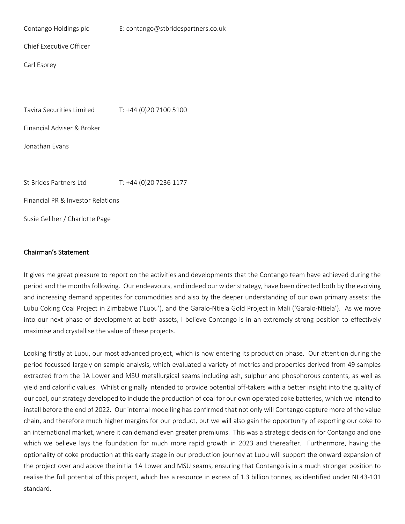| Contango Holdings plc             | E: contango@stbridespartners.co.uk |
|-----------------------------------|------------------------------------|
| Chief Executive Officer           |                                    |
| Carl Esprey                       |                                    |
|                                   |                                    |
| Tavira Securities Limited         | T: +44 (0)20 7100 5100             |
|                                   |                                    |
| Financial Adviser & Broker        |                                    |
| Jonathan Evans                    |                                    |
|                                   |                                    |
| St Brides Partners Ltd            | T: +44 (0)20 7236 1177             |
| Financial PR & Investor Relations |                                    |
| Susie Geliher / Charlotte Page    |                                    |

## Chairman's Statement

It gives me great pleasure to report on the activities and developments that the Contango team have achieved during the period and the months following. Our endeavours, and indeed our wider strategy, have been directed both by the evolving and increasing demand appetites for commodities and also by the deeper understanding of our own primary assets: the Lubu Coking Coal Project in Zimbabwe ('Lubu'), and the Garalo-Ntiela Gold Project in Mali ('Garalo-Ntiela'). As we move into our next phase of development at both assets, I believe Contango is in an extremely strong position to effectively maximise and crystallise the value of these projects.

Looking firstly at Lubu, our most advanced project, which is now entering its production phase. Our attention during the period focussed largely on sample analysis, which evaluated a variety of metrics and properties derived from 49 samples extracted from the 1A Lower and MSU metallurgical seams including ash, sulphur and phosphorous contents, as well as yield and calorific values. Whilst originally intended to provide potential off-takers with a better insight into the quality of our coal, our strategy developed to include the production of coal for our own operated coke batteries, which we intend to install before the end of 2022. Our internal modelling has confirmed that not only will Contango capture more of the value chain, and therefore much higher margins for our product, but we will also gain the opportunity of exporting our coke to an international market, where it can demand even greater premiums. This was a strategic decision for Contango and one which we believe lays the foundation for much more rapid growth in 2023 and thereafter. Furthermore, having the optionality of coke production at this early stage in our production journey at Lubu will support the onward expansion of the project over and above the initial 1A Lower and MSU seams, ensuring that Contango is in a much stronger position to realise the full potential of this project, which has a resource in excess of 1.3 billion tonnes, as identified under NI 43-101 standard.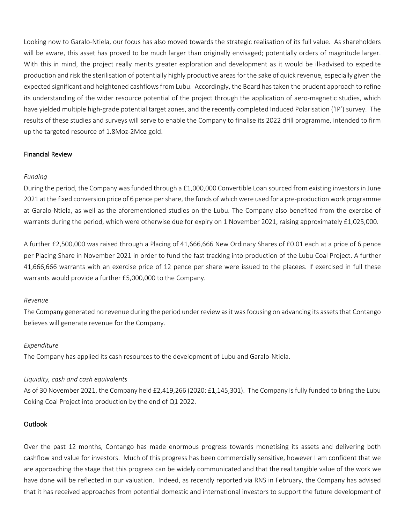Looking now to Garalo-Ntiela, our focus has also moved towards the strategic realisation of its full value. As shareholders will be aware, this asset has proved to be much larger than originally envisaged; potentially orders of magnitude larger. With this in mind, the project really merits greater exploration and development as it would be ill-advised to expedite production and risk the sterilisation of potentially highly productive areas for the sake of quick revenue, especially given the expected significant and heightened cashflows from Lubu. Accordingly, the Board has taken the prudent approach to refine its understanding of the wider resource potential of the project through the application of aero-magnetic studies, which have yielded multiple high-grade potential target zones, and the recently completed Induced Polarisation ('IP') survey. The results of these studies and surveys will serve to enable the Company to finalise its 2022 drill programme, intended to firm up the targeted resource of 1.8Moz-2Moz gold.

## Financial Review

## *Funding*

During the period, the Company was funded through a £1,000,000 Convertible Loan sourced from existing investors in June 2021 at the fixed conversion price of 6 pence per share, the funds of which were used for a pre-production work programme at Garalo-Ntiela, as well as the aforementioned studies on the Lubu. The Company also benefited from the exercise of warrants during the period, which were otherwise due for expiry on 1 November 2021, raising approximately £1,025,000.

A further £2,500,000 was raised through a Placing of 41,666,666 New Ordinary Shares of £0.01 each at a price of 6 pence per Placing Share in November 2021 in order to fund the fast tracking into production of the Lubu Coal Project. A further 41,666,666 warrants with an exercise price of 12 pence per share were issued to the placees. If exercised in full these warrants would provide a further £5,000,000 to the Company.

### *Revenue*

The Company generated no revenue during the period under review as it was focusing on advancing its assets that Contango believes will generate revenue for the Company.

### *Expenditure*

The Company has applied its cash resources to the development of Lubu and Garalo-Ntiela.

## *Liquidity, cash and cash equivalents*

As of 30 November 2021, the Company held £2,419,266 (2020: £1,145,301). The Company is fully funded to bring the Lubu Coking Coal Project into production by the end of Q1 2022.

## Outlook

Over the past 12 months, Contango has made enormous progress towards monetising its assets and delivering both cashflow and value for investors. Much of this progress has been commercially sensitive, however I am confident that we are approaching the stage that this progress can be widely communicated and that the real tangible value of the work we have done will be reflected in our valuation. Indeed, as recently reported via RNS in February, the Company has advised that it has received approaches from potential domestic and international investors to support the future development of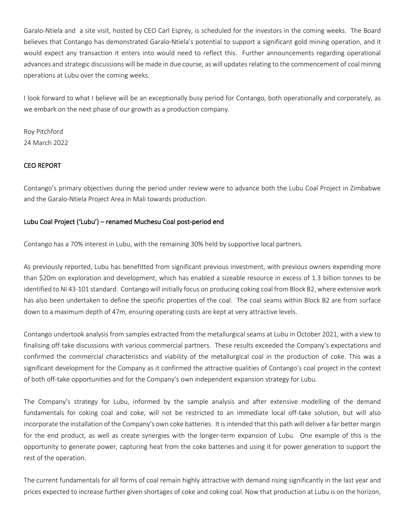Garalo-Ntiela and a site visit, hosted by CEO Carl Esprey, is scheduled for the investors in the coming weeks. The Board believes that Contango has demonstrated Garalo-Ntiela's potential to support a significant gold mining operation, and it would expect any transaction it enters into would need to reflect this. Further announcements regarding operational advances and strategic discussions will be made in due course, as will updates relating to the commencement of coal mining operations at Lubu over the coming weeks.

I look forward to what I believe will be an exceptionally busy period for Contango, both operationally and corporately, as we embark on the next phase of our growth as a production company.

Roy Pitchford 24 March 2022

## CEO REPORT

Contango's primary objectives during the period under review were to advance both the Lubu Coal Project in Zimbabwe and the Garalo-Ntiela Project Area in Mali towards production.

## Lubu Coal Project ('Lubu') – renamed Muchesu Coal post-period end

Contango has a 70% interest in Lubu, with the remaining 30% held by supportive local partners.

As previously reported, Lubu has benefitted from significant previous investment, with previous owners expending more than \$20m on exploration and development, which has enabled a sizeable resource in excess of 1.3 billion tonnes to be identified to NI 43-101 standard. Contango will initially focus on producing coking coal from Block B2, where extensive work has also been undertaken to define the specific properties of the coal. The coal seams within Block B2 are from surface down to a maximum depth of 47m, ensuring operating costs are kept at very attractive levels.

Contango undertook analysis from samples extracted from the metallurgical seams at Lubu in October 2021, with a view to finalising off-take discussions with various commercial partners. These results exceeded the Company's expectations and confirmed the commercial characteristics and viability of the metallurgical coal in the production of coke. This was a significant development for the Company as it confirmed the attractive qualities of Contango's coal project in the context of both off-take opportunities and for the Company's own independent expansion strategy for Lubu.

The Company's strategy for Lubu, informed by the sample analysis and after extensive modelling of the demand fundamentals for coking coal and coke, will not be restricted to an immediate local off-take solution, but will also incorporate the installation of the Company's own coke batteries. It is intended that this path will deliver a far better margin for the end product, as well as create synergies with the longer-term expansion of Lubu. One example of this is the opportunity to generate power, capturing heat from the coke batteries and using it for power generation to support the rest of the operation.

The current fundamentals for all forms of coal remain highly attractive with demand rising significantly in the last year and prices expected to increase further given shortages of coke and coking coal. Now that production at Lubu is on the horizon,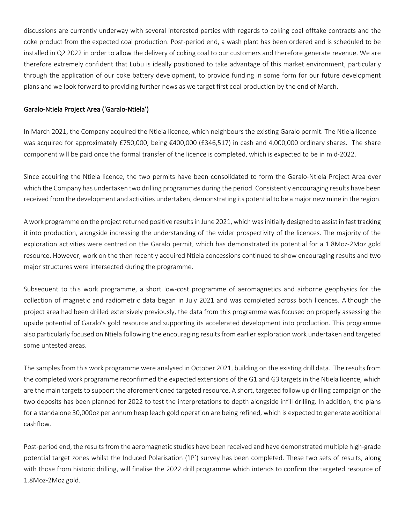discussions are currently underway with several interested parties with regards to coking coal offtake contracts and the coke product from the expected coal production. Post-period end, a wash plant has been ordered and is scheduled to be installed in Q2 2022 in order to allow the delivery of coking coal to our customers and therefore generate revenue. We are therefore extremely confident that Lubu is ideally positioned to take advantage of this market environment, particularly through the application of our coke battery development, to provide funding in some form for our future development plans and we look forward to providing further news as we target first coal production by the end of March.

## Garalo-Ntiela Project Area ('Garalo-Ntiela')

In March 2021, the Company acquired the Ntiela licence, which neighbours the existing Garalo permit. The Ntiela licence was acquired for approximately £750,000, being €400,000 (£346,517) in cash and 4,000,000 ordinary shares. The share component will be paid once the formal transfer of the licence is completed, which is expected to be in mid-2022.

Since acquiring the Ntiela licence, the two permits have been consolidated to form the Garalo-Ntiela Project Area over which the Company has undertaken two drilling programmes during the period. Consistently encouraging results have been received from the development and activities undertaken, demonstrating its potential to be a major new mine in the region.

A work programme on the project returned positive results in June 2021, which was initially designed to assist in fast tracking it into production, alongside increasing the understanding of the wider prospectivity of the licences. The majority of the exploration activities were centred on the Garalo permit, which has demonstrated its potential for a 1.8Moz-2Moz gold resource. However, work on the then recently acquired Ntiela concessions continued to show encouraging results and two major structures were intersected during the programme.

Subsequent to this work programme, a short low-cost programme of aeromagnetics and airborne geophysics for the collection of magnetic and radiometric data began in July 2021 and was completed across both licences. Although the project area had been drilled extensively previously, the data from this programme was focused on properly assessing the upside potential of Garalo's gold resource and supporting its accelerated development into production. This programme also particularly focused on Ntiela following the encouraging results from earlier exploration work undertaken and targeted some untested areas.

The samples from this work programme were analysed in October 2021, building on the existing drill data. The results from the completed work programme reconfirmed the expected extensions of the G1 and G3 targets in the Ntiela licence, which are the main targets to support the aforementioned targeted resource. A short, targeted follow up drilling campaign on the two deposits has been planned for 2022 to test the interpretations to depth alongside infill drilling. In addition, the plans for a standalone 30,000oz per annum heap leach gold operation are being refined, which is expected to generate additional cashflow.

Post-period end, the results from the aeromagnetic studies have been received and have demonstrated multiple high-grade potential target zones whilst the Induced Polarisation ('IP') survey has been completed. These two sets of results, along with those from historic drilling, will finalise the 2022 drill programme which intends to confirm the targeted resource of 1.8Moz-2Moz gold.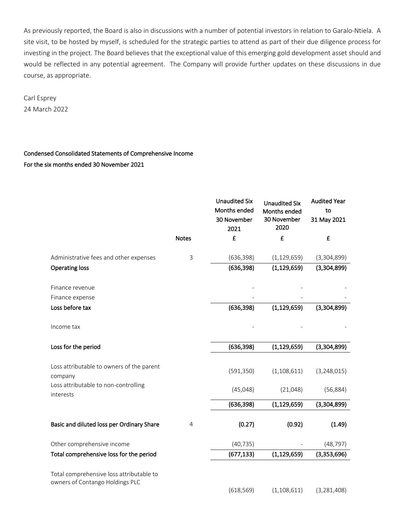As previously reported, the Board is also in discussions with a number of potential investors in relation to Garalo-Ntiela. A site visit, to be hosted by myself, is scheduled for the strategic parties to attend as part of their due diligence process for investing in the project. The Board believes that the exceptional value of this emerging gold development asset should and would be reflected in any potential agreement. The Company will provide further updates on these discussions in due course, as appropriate.

Carl Esprey 24 March 2022

# Condensed Consolidated Statements of Comprehensive Income For the six months ended 30 November 2021

|                                                                             |              | <b>Unaudited Six</b><br>Months ended<br>30 November<br>2021 | <b>Unaudited Six</b><br>Months ended<br>30 November<br>2020 | <b>Audited Year</b><br>to<br>31 May 2021 |
|-----------------------------------------------------------------------------|--------------|-------------------------------------------------------------|-------------------------------------------------------------|------------------------------------------|
|                                                                             | <b>Notes</b> | £                                                           | £                                                           | £                                        |
| Administrative fees and other expenses                                      | 3            | (636, 398)                                                  | (1, 129, 659)                                               | (3,304,899)                              |
| <b>Operating loss</b>                                                       |              | (636, 398)                                                  | (1, 129, 659)                                               | (3,304,899)                              |
| Finance revenue                                                             |              |                                                             |                                                             |                                          |
| Finance expense                                                             |              |                                                             |                                                             |                                          |
| Loss before tax                                                             |              | (636, 398)                                                  | (1, 129, 659)                                               | (3,304,899)                              |
| Income tax                                                                  |              |                                                             |                                                             |                                          |
| Loss for the period                                                         |              | (636, 398)                                                  | (1, 129, 659)                                               | (3,304,899)                              |
| Loss attributable to owners of the parent<br>company                        |              | (591, 350)                                                  | (1, 108, 611)                                               | (3, 248, 015)                            |
| Loss attributable to non-controlling<br>interests                           |              | (45,048)                                                    | (21,048)                                                    | (56, 884)                                |
|                                                                             |              | (636, 398)                                                  | (1, 129, 659)                                               | (3,304,899)                              |
| Basic and diluted loss per Ordinary Share                                   | 4            | (0.27)                                                      | (0.92)                                                      | (1.49)                                   |
| Other comprehensive income                                                  |              | (40, 735)                                                   |                                                             | (48, 797)                                |
| Total comprehensive loss for the period                                     |              | (677, 133)                                                  | (1, 129, 659)                                               | (3,353,696)                              |
| Total comprehensive loss attributable to<br>owners of Contango Holdings PLC |              |                                                             |                                                             |                                          |
|                                                                             |              | (618, 569)                                                  | (1, 108, 611)                                               | (3, 281, 408)                            |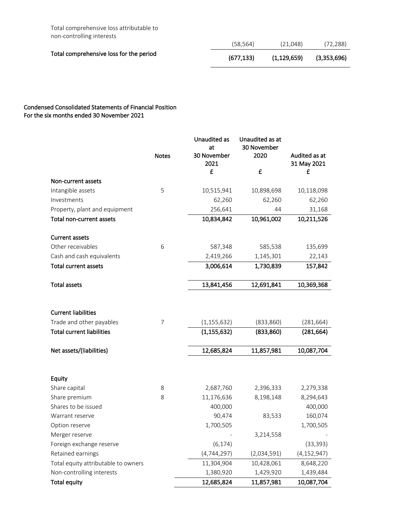Total comprehensive loss attributable to non-controlling interests

|                                         | (58, 564) | (21,048)    | (72, 288)   |
|-----------------------------------------|-----------|-------------|-------------|
| Total comprehensive loss for the period | (677.133) | (1,129,659) | (3,353,696) |

## Condensed Consolidated Statements of Financial Position For the six months ended 30 November 2021

|                                     |              | Unaudited as<br>at | Unaudited as at<br>30 November |               |
|-------------------------------------|--------------|--------------------|--------------------------------|---------------|
|                                     | <b>Notes</b> | 30 November        | 2020                           | Audited as at |
|                                     |              | 2021               |                                | 31 May 2021   |
|                                     |              | £                  | £                              | £             |
| Non-current assets                  |              |                    |                                |               |
| Intangible assets                   | 5            | 10,515,941         | 10,898,698                     | 10,118,098    |
| Investments                         |              | 62,260             | 62,260                         | 62,260        |
| Property, plant and equipment       |              | 256,641            | 44                             | 31,168        |
| Total non-current assets            |              | 10,834,842         | 10,961,002                     | 10,211,526    |
| <b>Current assets</b>               |              |                    |                                |               |
| Other receivables                   | 6            | 587,348            | 585,538                        | 135,699       |
| Cash and cash equivalents           |              | 2,419,266          | 1,145,301                      | 22,143        |
| <b>Total current assets</b>         |              | 3,006,614          | 1,730,839                      | 157,842       |
| <b>Total assets</b>                 |              | 13,841,456         | 12,691,841                     | 10,369,368    |
|                                     |              |                    |                                |               |
| <b>Current liabilities</b>          |              |                    |                                |               |
| Trade and other payables            | 7            | (1, 155, 632)      | (833, 860)                     | (281, 664)    |
| <b>Total current liabilities</b>    |              | (1, 155, 632)      | (833, 860)                     | (281, 664)    |
| Net assets/(liabilities)            |              | 12,685,824         | 11,857,981                     | 10,087,704    |
|                                     |              |                    |                                |               |
| Equity                              |              |                    |                                |               |
| Share capital                       | 8            | 2,687,760          | 2,396,333                      | 2,279,338     |
| Share premium                       | 8            | 11,176,636         | 8,198,148                      | 8,294,643     |
| Shares to be issued                 |              | 400,000            |                                | 400,000       |
| Warrant reserve                     |              | 90,474             | 83,533                         | 160,074       |
| Option reserve                      |              | 1,700,505          |                                | 1,700,505     |
| Merger reserve                      |              |                    | 3,214,558                      |               |
| Foreign exchange reserve            |              | (6, 174)           |                                | (33, 393)     |
| Retained earnings                   |              | (4, 744, 297)      | (2,034,591)                    | (4, 152, 947) |
| Total equity attributable to owners |              | 11,304,904         | 10,428,061                     | 8,648,220     |
| Non-controlling interests           |              | 1,380,920          | 1,429,920                      | 1,439,484     |
| <b>Total equity</b>                 |              | 12,685,824         | 11,857,981                     | 10,087,704    |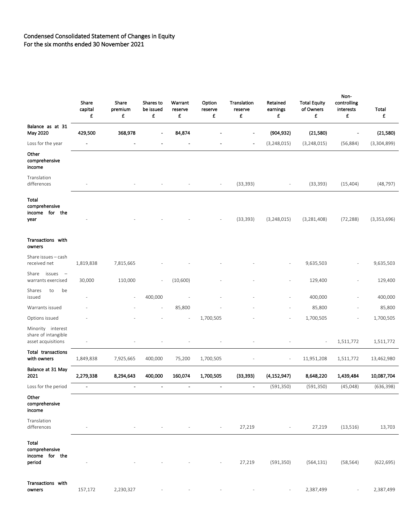### Condensed Consolidated Statement of Changes in Equity For the six months ended 30 November 2021

|                                                                   | Share<br>capital<br>£ | Share<br>premium<br>£ | Shares to<br>be issued<br>£ | Warrant<br>reserve<br>£ | Option<br>reserve<br>£ | Translation<br>reserve<br>£ | Retained<br>earnings<br>£ | <b>Total Equity</b><br>of Owners<br>£ | Non-<br>controlling<br>interests<br>£ | Total<br>£  |
|-------------------------------------------------------------------|-----------------------|-----------------------|-----------------------------|-------------------------|------------------------|-----------------------------|---------------------------|---------------------------------------|---------------------------------------|-------------|
| Balance as at 31<br>May 2020                                      | 429,500               | 368,978               | $\blacksquare$              | 84,874                  |                        |                             | (904, 932)                | (21,580)                              |                                       | (21,580)    |
| Loss for the year                                                 |                       |                       |                             |                         |                        |                             | (3, 248, 015)             | (3, 248, 015)                         | (56, 884)                             | (3,304,899) |
| Other<br>comprehensive<br>income                                  |                       |                       |                             |                         |                        |                             |                           |                                       |                                       |             |
| Translation<br>differences                                        |                       |                       |                             |                         |                        | (33, 393)                   |                           | (33, 393)                             | (15, 404)                             | (48, 797)   |
| Total<br>comprehensive<br>income for the<br>year                  |                       |                       |                             |                         |                        | (33, 393)                   | (3, 248, 015)             | (3, 281, 408)                         | (72, 288)                             | (3,353,696) |
| Transactions with<br>owners                                       |                       |                       |                             |                         |                        |                             |                           |                                       |                                       |             |
| Share issues - cash<br>received net                               | 1,819,838             | 7,815,665             |                             |                         |                        |                             |                           | 9,635,503                             |                                       | 9,635,503   |
| Share<br>issues<br>$\overline{\phantom{a}}$<br>warrants exercised | 30,000                | 110,000               | $\overline{\phantom{a}}$    | (10,600)                |                        |                             |                           | 129,400                               |                                       | 129,400     |
| Shares<br>be<br>to<br>issued                                      |                       |                       | 400,000                     |                         |                        |                             |                           | 400,000                               |                                       | 400,000     |
| Warrants issued                                                   |                       |                       |                             | 85,800                  |                        |                             |                           | 85,800                                |                                       | 85,800      |
| Options issued                                                    |                       |                       |                             | $\sim$                  | 1,700,505              |                             |                           | 1,700,505                             |                                       | 1,700,505   |
| Minority interest<br>share of intangible<br>asset acquisitions    |                       |                       |                             |                         |                        |                             |                           |                                       | 1,511,772                             | 1,511,772   |
| Total transactions<br>with owners                                 | 1,849,838             | 7,925,665             | 400,000                     | 75,200                  | 1,700,505              |                             | ÷,                        | 11,951,208                            | 1,511,772                             | 13,462,980  |
| Balance at 31 May<br>2021                                         | 2,279,338             | 8,294,643             | 400,000                     | 160,074                 | 1,700,505              | (33, 393)                   | (4, 152, 947)             | 8,648,220                             | 1,439,484                             | 10,087,704  |
| Loss for the period                                               |                       | -                     |                             |                         | -                      | $\overline{\phantom{a}}$    | (591, 350)                | (591, 350)                            | (45, 048)                             | (636.398)   |
| Other<br>comprehensive<br>income                                  |                       |                       |                             |                         |                        |                             |                           |                                       |                                       |             |
| Translation<br>differences                                        |                       |                       |                             |                         |                        | 27,219                      |                           | 27,219                                | (13, 516)                             | 13,703      |
| Total<br>comprehensive<br>income for the<br>period                |                       |                       |                             |                         |                        | 27,219                      | (591, 350)                | (564, 131)                            | (58, 564)                             | (622, 695)  |
| Transactions with<br>owners                                       | 157,172               | 2,230,327             |                             |                         |                        |                             |                           | 2,387,499                             |                                       | 2,387,499   |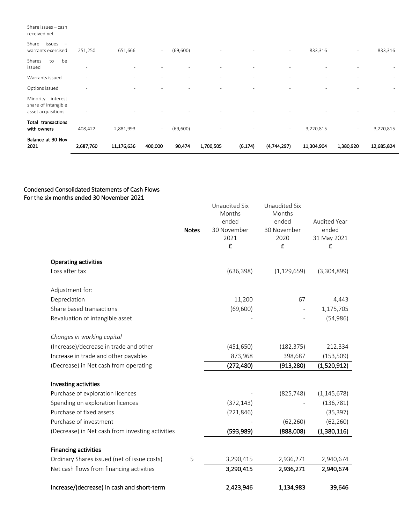#### Share issues – cash received net

| issues<br>Share<br>$\overline{\phantom{a}}$<br>warrants exercised | 251,250                  | 651,666                  | $\sim$                   | (69,600) | ٠                        |                          | ٠           | 833,316                  | $\overline{\phantom{a}}$ | 833,316                  |
|-------------------------------------------------------------------|--------------------------|--------------------------|--------------------------|----------|--------------------------|--------------------------|-------------|--------------------------|--------------------------|--------------------------|
| be<br>Shares<br>to<br>issued                                      | $\overline{\phantom{a}}$ | $\overline{\phantom{a}}$ |                          |          |                          |                          |             |                          |                          |                          |
| Warrants issued                                                   |                          |                          |                          |          |                          |                          |             |                          |                          |                          |
| Options issued                                                    | $\overline{\phantom{a}}$ | $\sim$                   | $\overline{\phantom{a}}$ |          | $\overline{\phantom{a}}$ | $\overline{\phantom{a}}$ | $\sim$      | $\overline{\phantom{a}}$ | $\overline{\phantom{a}}$ | $\overline{\phantom{a}}$ |
| Minority interest<br>share of intangible<br>asset acquisitions    | ٠                        |                          | $\overline{\phantom{a}}$ |          | $\overline{\phantom{a}}$ | $\overline{\phantom{a}}$ | $\sim$      |                          | $\overline{\phantom{a}}$ |                          |
| transactions<br>Total<br>with owners                              | 408,422                  | 2,881,993                | $\sim$                   | (69,600) | $\overline{\phantom{a}}$ |                          | $\sim$      | 3,220,815                | $\sim$                   | 3,220,815                |
| Balance at 30 Nov<br>2021                                         | 2,687,760                | 11,176,636               | 400,000                  | 90,474   | 1,700,505                | (6, 174)                 | (4,744,297) | 11,304,904               | 1,380,920                | 12,685,824               |

### Condensed Consolidated Statements of Cash Flows For the six months ended 30 November 2021

|                                                  |              | Unaudited Six<br>Months | Unaudited Six<br>Months |                  |
|--------------------------------------------------|--------------|-------------------------|-------------------------|------------------|
|                                                  |              | ended                   | ended                   | Audited Year     |
|                                                  | <b>Notes</b> | 30 November             | 30 November             | ended            |
|                                                  |              | 2021<br>£               | 2020<br>£               | 31 May 2021<br>£ |
|                                                  |              |                         |                         |                  |
| <b>Operating activities</b>                      |              |                         |                         |                  |
| Loss after tax                                   |              | (636, 398)              | (1, 129, 659)           | (3,304,899)      |
|                                                  |              |                         |                         |                  |
| Adjustment for:                                  |              |                         |                         |                  |
| Depreciation                                     |              | 11,200                  | 67                      | 4,443            |
| Share based transactions                         |              | (69, 600)               |                         | 1,175,705        |
| Revaluation of intangible asset                  |              |                         |                         | (54, 986)        |
| Changes in working capital                       |              |                         |                         |                  |
| (Increase)/decrease in trade and other           |              | (451, 650)              | (182, 375)              | 212,334          |
| Increase in trade and other payables             |              | 873,968                 | 398,687                 | (153, 509)       |
| (Decrease) in Net cash from operating            |              | (272, 480)              | (913, 280)              | (1,520,912)      |
|                                                  |              |                         |                         |                  |
| Investing activities                             |              |                         |                         |                  |
| Purchase of exploration licences                 |              |                         | (825, 748)              | (1, 145, 678)    |
| Spending on exploration licences                 |              | (372, 143)              |                         | (136, 781)       |
| Purchase of fixed assets                         |              | (221, 846)              |                         | (35, 397)        |
| Purchase of investment                           |              |                         | (62, 260)               | (62, 260)        |
| (Decrease) in Net cash from investing activities |              | (593,989)               | (888,008)               | (1,380,116)      |
| <b>Financing activities</b>                      |              |                         |                         |                  |
| Ordinary Shares issued (net of issue costs)      | 5            | 3,290,415               | 2,936,271               | 2,940,674        |
| Net cash flows from financing activities         |              | 3,290,415               | 2,936,271               | 2,940,674        |
|                                                  |              |                         |                         |                  |
| Increase/(decrease) in cash and short-term       |              | 2,423,946               | 1,134,983               | 39,646           |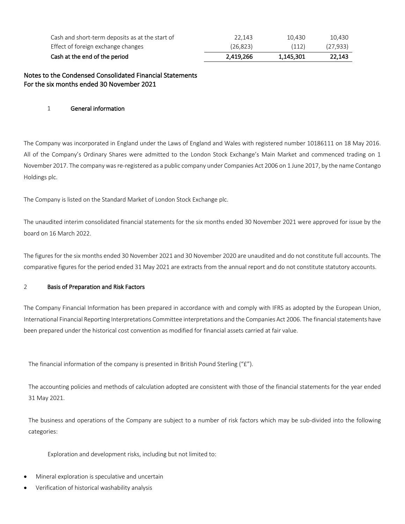| 2.419.266 | 1.145.301 | 22.143    |
|-----------|-----------|-----------|
| (26.823)  | (112)     | (27, 933) |
| 22.143    | 10.430    | 10.430    |
|           |           |           |

Notes to the Condensed Consolidated Financial Statements For the six months ended 30 November 2021

### 1 General information

The Company was incorporated in England under the Laws of England and Wales with registered number 10186111 on 18 May 2016. All of the Company's Ordinary Shares were admitted to the London Stock Exchange's Main Market and commenced trading on 1 November 2017. The company was re-registered as a public company under Companies Act 2006 on 1 June 2017, by the name Contango Holdings plc.

The Company is listed on the Standard Market of London Stock Exchange plc.

The unaudited interim consolidated financial statements for the six months ended 30 November 2021 were approved for issue by the board on 16 March 2022.

The figures for the six months ended 30 November 2021 and 30 November 2020 are unaudited and do not constitute full accounts. The comparative figures for the period ended 31 May 2021 are extracts from the annual report and do not constitute statutory accounts.

### 2 Basis of Preparation and Risk Factors

The Company Financial Information has been prepared in accordance with and comply with IFRS as adopted by the European Union, International Financial Reporting Interpretations Committee interpretations and the Companies Act 2006. The financial statements have been prepared under the historical cost convention as modified for financial assets carried at fair value.

The financial information of the company is presented in British Pound Sterling ("£").

The accounting policies and methods of calculation adopted are consistent with those of the financial statements for the year ended 31 May 2021.

The business and operations of the Company are subject to a number of risk factors which may be sub-divided into the following categories:

Exploration and development risks, including but not limited to:

- Mineral exploration is speculative and uncertain
- Verification of historical washability analysis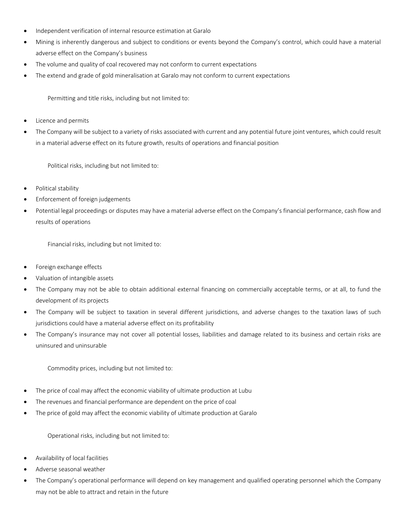- Independent verification of internal resource estimation at Garalo
- Mining is inherently dangerous and subject to conditions or events beyond the Company's control, which could have a material adverse effect on the Company's business
- The volume and quality of coal recovered may not conform to current expectations
- The extend and grade of gold mineralisation at Garalo may not conform to current expectations

Permitting and title risks, including but not limited to:

- Licence and permits
- The Company will be subject to a variety of risks associated with current and any potential future joint ventures, which could result in a material adverse effect on its future growth, results of operations and financial position

Political risks, including but not limited to:

- Political stability
- Enforcement of foreign judgements
- Potential legal proceedings or disputes may have a material adverse effect on the Company's financial performance, cash flow and results of operations

Financial risks, including but not limited to:

- Foreign exchange effects
- Valuation of intangible assets
- The Company may not be able to obtain additional external financing on commercially acceptable terms, or at all, to fund the development of its projects
- The Company will be subject to taxation in several different jurisdictions, and adverse changes to the taxation laws of such jurisdictions could have a material adverse effect on its profitability
- The Company's insurance may not cover all potential losses, liabilities and damage related to its business and certain risks are uninsured and uninsurable

Commodity prices, including but not limited to:

- The price of coal may affect the economic viability of ultimate production at Lubu
- The revenues and financial performance are dependent on the price of coal
- The price of gold may affect the economic viability of ultimate production at Garalo

Operational risks, including but not limited to:

- Availability of local facilities
- Adverse seasonal weather
- The Company's operational performance will depend on key management and qualified operating personnel which the Company may not be able to attract and retain in the future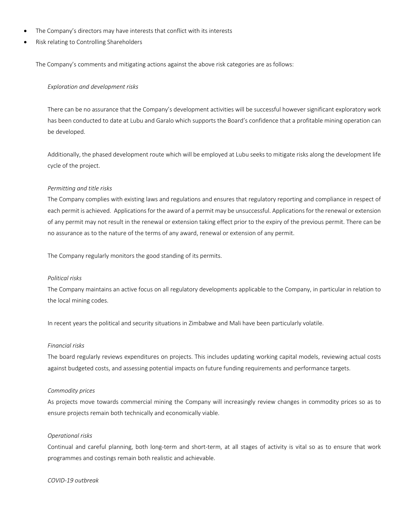- The Company's directors may have interests that conflict with its interests
- Risk relating to Controlling Shareholders

The Company's comments and mitigating actions against the above risk categories are as follows:

#### *Exploration and development risks*

There can be no assurance that the Company's development activities will be successful however significant exploratory work has been conducted to date at Lubu and Garalo which supports the Board's confidence that a profitable mining operation can be developed.

Additionally, the phased development route which will be employed at Lubu seeks to mitigate risks along the development life cycle of the project.

#### *Permitting and title risks*

The Company complies with existing laws and regulations and ensures that regulatory reporting and compliance in respect of each permit is achieved. Applications for the award of a permit may be unsuccessful. Applications for the renewal or extension of any permit may not result in the renewal or extension taking effect prior to the expiry of the previous permit. There can be no assurance as to the nature of the terms of any award, renewal or extension of any permit.

The Company regularly monitors the good standing of its permits.

#### *Political risks*

The Company maintains an active focus on all regulatory developments applicable to the Company, in particular in relation to the local mining codes.

In recent years the political and security situations in Zimbabwe and Mali have been particularly volatile.

#### *Financial risks*

The board regularly reviews expenditures on projects. This includes updating working capital models, reviewing actual costs against budgeted costs, and assessing potential impacts on future funding requirements and performance targets.

#### *Commodity prices*

As projects move towards commercial mining the Company will increasingly review changes in commodity prices so as to ensure projects remain both technically and economically viable.

### *Operational risks*

Continual and careful planning, both long-term and short-term, at all stages of activity is vital so as to ensure that work programmes and costings remain both realistic and achievable.

*COVID-19 outbreak*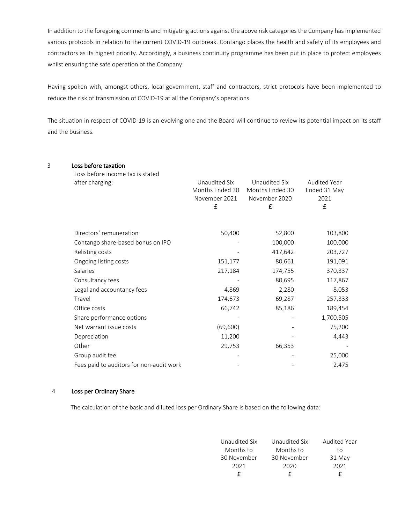In addition to the foregoing comments and mitigating actions against the above risk categories the Company has implemented various protocols in relation to the current COVID-19 outbreak. Contango places the health and safety of its employees and contractors as its highest priority. Accordingly, a business continuity programme has been put in place to protect employees whilst ensuring the safe operation of the Company.

Having spoken with, amongst others, local government, staff and contractors, strict protocols have been implemented to reduce the risk of transmission of COVID-19 at all the Company's operations.

The situation in respect of COVID-19 is an evolving one and the Board will continue to review its potential impact on its staff and the business.

| 3 | Loss before taxation<br>Loss before income tax is stated |                                                        |                                                        |                                                      |
|---|----------------------------------------------------------|--------------------------------------------------------|--------------------------------------------------------|------------------------------------------------------|
|   | after charging:                                          | Unaudited Six<br>Months Ended 30<br>November 2021<br>£ | Unaudited Six<br>Months Ended 30<br>November 2020<br>£ | Audited Year<br>Ended 31 May<br>2021<br>$\mathbf{f}$ |
|   | Directors' remuneration                                  | 50,400                                                 | 52,800                                                 | 103,800                                              |
|   | Contango share-based bonus on IPO                        |                                                        | 100,000                                                | 100,000                                              |
|   | Relisting costs                                          |                                                        | 417,642                                                | 203,727                                              |
|   | Ongoing listing costs                                    | 151,177                                                | 80,661                                                 | 191,091                                              |
|   | Salaries                                                 | 217,184                                                | 174,755                                                | 370,337                                              |
|   | Consultancy fees                                         |                                                        | 80,695                                                 | 117,867                                              |
|   | Legal and accountancy fees                               | 4,869                                                  | 2,280                                                  | 8,053                                                |
|   | Travel                                                   | 174,673                                                | 69,287                                                 | 257,333                                              |
|   | Office costs                                             | 66,742                                                 | 85,186                                                 | 189,454                                              |
|   | Share performance options                                |                                                        |                                                        | 1,700,505                                            |
|   | Net warrant issue costs                                  | (69, 600)                                              |                                                        | 75,200                                               |
|   | Depreciation                                             | 11,200                                                 |                                                        | 4,443                                                |
|   | Other                                                    | 29,753                                                 | 66,353                                                 |                                                      |
|   | Group audit fee                                          |                                                        |                                                        | 25,000                                               |
|   | Fees paid to auditors for non-audit work                 |                                                        |                                                        | 2,475                                                |

## 4 Loss per Ordinary Share

The calculation of the basic and diluted loss per Ordinary Share is based on the following data:

|               |               | £            |
|---------------|---------------|--------------|
| 2021          | 2020          | 2021         |
| 30 November   | 30 November   | 31 May       |
| Months to     | Months to     | to           |
| Unaudited Six | Unaudited Six | Audited Year |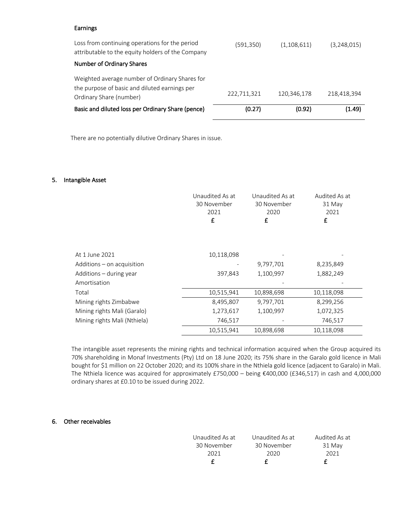### Earnings

| Loss from continuing operations for the period<br>attributable to the equity holders of the Company                        | (591,350)   | (1,108,611) | (3,248,015) |
|----------------------------------------------------------------------------------------------------------------------------|-------------|-------------|-------------|
| Number of Ordinary Shares                                                                                                  |             |             |             |
| Weighted average number of Ordinary Shares for<br>the purpose of basic and diluted earnings per<br>Ordinary Share (number) | 222,711,321 | 120,346,178 | 218,418,394 |
| Basic and diluted loss per Ordinary Share (pence)                                                                          | (0.27)      | (0.92)      | (1.49)      |

There are no potentially dilutive Ordinary Shares in issue.

### 5. Intangible Asset

|                              | Unaudited As at<br>30 November<br>2021<br>£ | Unaudited As at<br>30 November<br>2020<br>£ | Audited As at<br>31 May<br>2021<br>£ |
|------------------------------|---------------------------------------------|---------------------------------------------|--------------------------------------|
| At 1 June 2021               | 10,118,098                                  |                                             |                                      |
| Additions – on acquisition   |                                             | 9,797,701                                   | 8,235,849                            |
| Additions - during year      | 397,843                                     | 1,100,997                                   | 1,882,249                            |
| Amortisation                 |                                             |                                             |                                      |
| Total                        | 10,515,941                                  | 10,898,698                                  | 10,118,098                           |
| Mining rights Zimbabwe       | 8,495,807                                   | 9,797,701                                   | 8,299,256                            |
| Mining rights Mali (Garalo)  | 1,273,617                                   | 1,100,997                                   | 1,072,325                            |
| Mining rights Mali (Nthiela) | 746,517                                     |                                             | 746,517                              |
|                              | 10,515,941                                  | 10,898,698                                  | 10,118,098                           |

The intangible asset represents the mining rights and technical information acquired when the Group acquired its 70% shareholding in Monaf Investments (Pty) Ltd on 18 June 2020; its 75% share in the Garalo gold licence in Mali bought for \$1 million on 22 October 2020; and its 100% share in the Nthiela gold licence (adjacent to Garalo) in Mali. The Nthiela licence was acquired for approximately £750,000 – being €400,000 (£346,517) in cash and 4,000,000 ordinary shares at £0.10 to be issued during 2022.

### 6. Other receivables

| Unaudited As at | Unaudited As at | Audited As at |
|-----------------|-----------------|---------------|
| 30 November     | 30 November     | 31 May        |
| 2021            | 2020            | 2021          |
|                 |                 |               |